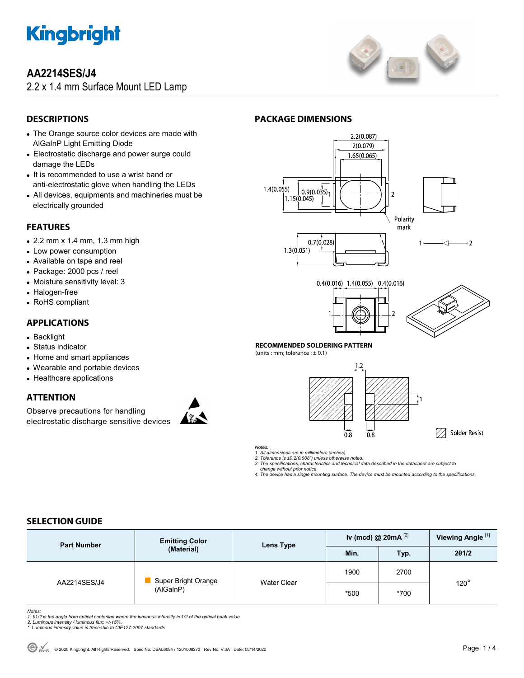

# **AA2214SES/J4**

2.2 x 1.4 mm Surface Mount LED Lamp



## **DESCRIPTIONS**

- The Orange source color devices are made with AlGaInP Light Emitting Diode
- Electrostatic discharge and power surge could damage the LEDs
- It is recommended to use a wrist band or anti-electrostatic glove when handling the LEDs
- All devices, equipments and machineries must be electrically grounded

## **FEATURES**

- 2.2 mm x 1.4 mm, 1.3 mm high
- Low power consumption
- Available on tape and reel
- Package: 2000 pcs / reel
- Moisture sensitivity level: 3
- Halogen-free
- RoHS compliant

## **APPLICATIONS**

- Backlight
- Status indicator
- Home and smart appliances
- Wearable and portable devices
- Healthcare applications

## **ATTENTION**

Observe precautions for handling electrostatic discharge sensitive devices



# **PACKAGE DIMENSIONS**







7 Solder Resist

#### **RECOMMENDED SOLDERING PATTERN**

(units : mm; tolerance :  $\pm$  0.1)



*Notes:* 

*1. All dimensions are in millimeters (inches).* 

*2. Tolerance is ±0.2(0.008") unless otherwise noted.* 

*3. The specifications, characteristics and technical data described in the datasheet are subject to change without prior notice.* 

*4. The device has a single mounting surface. The device must be mounted according to the specifications.* 

## **SELECTION GUIDE**

| <b>Part Number</b> | <b>Emitting Color</b><br>(Material) | Lens Type   | Iv (mcd) @ $20mA$ <sup>[2]</sup> |      | Viewing Angle <sup>[1]</sup> |
|--------------------|-------------------------------------|-------------|----------------------------------|------|------------------------------|
|                    |                                     |             | Min.                             | Typ. | 201/2                        |
| AA2214SES/J4       | Super Bright Orange<br>(AlGaInP)    | Water Clear | 1900                             | 2700 | $120^\circ$                  |
|                    |                                     |             | *500                             | *700 |                              |

Notes:<br>1. 61/2 is the angle from optical centerline where the luminous intensity is 1/2 of the optical peak value.<br>2. Luminous intensity / luminous flux: +/-15%.<br>\* Luminous intensity value is traceable to CIE127-2007 stand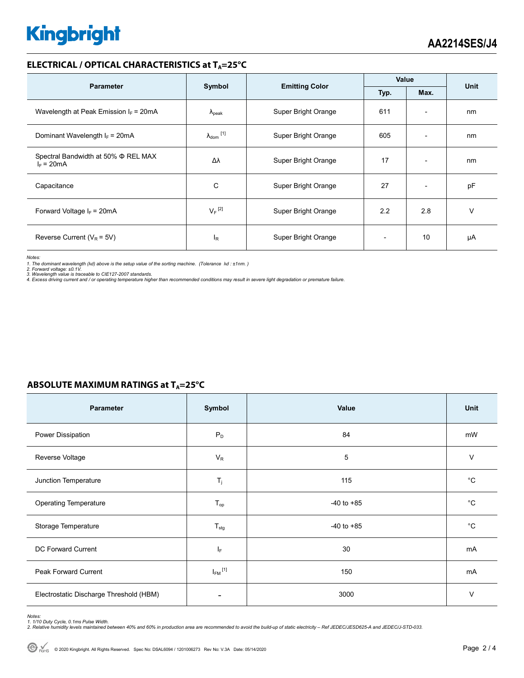# **Kingbright**

### **ELECTRICAL / OPTICAL CHARACTERISTICS at TA=25°C**

| <b>Parameter</b>                                    | Symbol                         | <b>Emitting Color</b> | Value |                          | <b>Unit</b> |
|-----------------------------------------------------|--------------------------------|-----------------------|-------|--------------------------|-------------|
|                                                     | Typ.<br>Max.                   |                       |       |                          |             |
| Wavelength at Peak Emission $I_F$ = 20mA            | $\Lambda_{\rm peak}$           | Super Bright Orange   | 611   | $\overline{\phantom{a}}$ | nm          |
| Dominant Wavelength $I_F = 20mA$                    | $\lambda_{dom}$ <sup>[1]</sup> | Super Bright Orange   | 605   | $\overline{\phantom{a}}$ | nm          |
| Spectral Bandwidth at 50% Φ REL MAX<br>$I_F = 20mA$ | Δλ                             | Super Bright Orange   | 17    | $\overline{\phantom{a}}$ | nm          |
| Capacitance                                         | С                              | Super Bright Orange   | 27    | $\overline{\phantom{a}}$ | pF          |
| Forward Voltage $I_F$ = 20mA                        | $V_F$ <sup>[2]</sup>           | Super Bright Orange   | 2.2   | 2.8                      | v           |
| Reverse Current ( $V_R$ = 5V)                       | <sup>I</sup> R                 | Super Bright Orange   |       | 10                       | μA          |

*Notes:* 

1. The dominant wavelength (λd) above is the setup value of the sorting machine. (Tolerance λd : ±1nm. )<br>2. Forward voltage: ±0.1V.<br>3. Wavelength value is traceable to CIE127-2007 standards.<br>4. Excess driving current and

| Parameter                               | Symbol                  | Value          | Unit        |
|-----------------------------------------|-------------------------|----------------|-------------|
| Power Dissipation                       | $P_D$                   | 84             | mW          |
| Reverse Voltage                         | $V_R$                   | 5              | $\vee$      |
| Junction Temperature                    | $T_j$                   | 115            | $^{\circ}C$ |
| <b>Operating Temperature</b>            | $T_{op}$                | $-40$ to $+85$ | $^{\circ}C$ |
| Storage Temperature                     | $T_{\text{stg}}$        | $-40$ to $+85$ | $^{\circ}C$ |
| <b>DC Forward Current</b>               | ΙF                      | 30             | mA          |
| Peak Forward Current                    | $I_{FM}$ <sup>[1]</sup> | 150            | mA          |
| Electrostatic Discharge Threshold (HBM) |                         | 3000           | V           |

Notes:<br>1. 1/10 Duty Cycle, 0.1ms Pulse Width.<br>2. Relative humidity levels maintained between 40% and 60% in production area are recommended to avoid the build-up of static electricity – Ref JEDEC/JESD625-A and JEDEC/J-STD-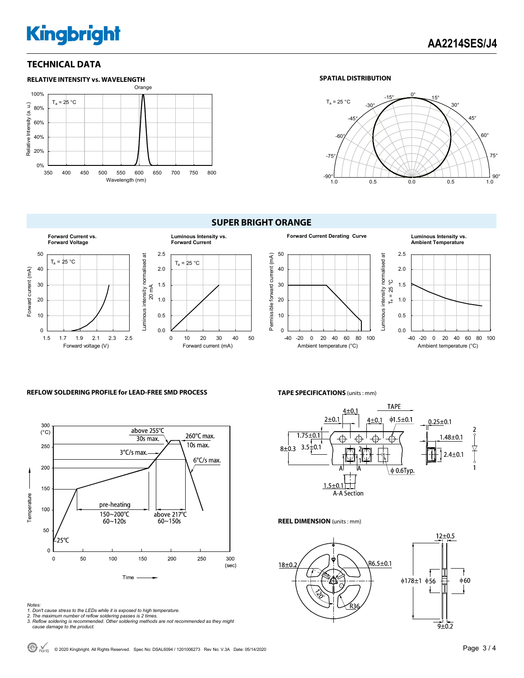# **Kingbright**

## **TECHNICAL DATA**



#### **SPATIAL DISTRIBUTION**



#### **SUPER BRIGHT ORANGE**









#### **REFLOW SOLDERING PROFILE for LEAD-FREE SMD PROCESS**



# **TAPE SPECIFICATIONS** (units : mm)



#### **REEL DIMENSION** (units : mm)



*Notes:* 

- *1. Don't cause stress to the LEDs while it is exposed to high temperature.*
- *2. The maximum number of reflow soldering passes is 2 times. 3. Reflow soldering is recommended. Other soldering methods are not recommended as they might cause damage to the product.*